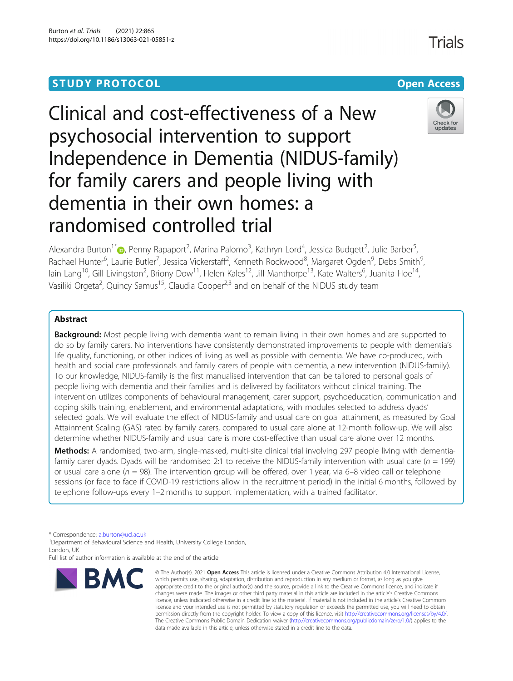# **STUDY PROTOCOL CONSUMING THE CONSUMING OPEN ACCESS**

# Clinical and cost-effectiveness of a New psychosocial intervention to support Independence in Dementia (NIDUS-family) for family carers and people living with dementia in their own homes: a randomised controlled trial



Alexandra Burton<sup>1\*</sup>®[,](http://orcid.org/0000-0002-4433-3902) Penny Rapaport<sup>2</sup>, Marina Palomo<sup>3</sup>, Kathryn Lord<sup>4</sup>, Jessica Budgett<sup>2</sup>, Julie Barber<sup>5</sup> , Rachael Hunter<sup>6</sup>, Laurie Butler<sup>7</sup>, Jessica Vickerstaff<sup>2</sup>, Kenneth Rockwood<sup>8</sup>, Margaret Ogden<sup>9</sup>, Debs Smith<sup>9</sup> , lain Lang<sup>10</sup>, Gill Livingston<sup>2</sup>, Briony Dow<sup>11</sup>, Helen Kales<sup>12</sup>, Jill Manthorpe<sup>13</sup>, Kate Walters<sup>6</sup>, Juanita Hoe<sup>14</sup>, Vasiliki Orgeta<sup>2</sup>, Quincy Samus<sup>15</sup>, Claudia Cooper<sup>2,3</sup> and on behalf of the NIDUS study team

# Abstract

**Background:** Most people living with dementia want to remain living in their own homes and are supported to do so by family carers. No interventions have consistently demonstrated improvements to people with dementia's life quality, functioning, or other indices of living as well as possible with dementia. We have co-produced, with health and social care professionals and family carers of people with dementia, a new intervention (NIDUS-family). To our knowledge, NIDUS-family is the first manualised intervention that can be tailored to personal goals of people living with dementia and their families and is delivered by facilitators without clinical training. The intervention utilizes components of behavioural management, carer support, psychoeducation, communication and coping skills training, enablement, and environmental adaptations, with modules selected to address dyads' selected goals. We will evaluate the effect of NIDUS-family and usual care on goal attainment, as measured by Goal Attainment Scaling (GAS) rated by family carers, compared to usual care alone at 12-month follow-up. We will also determine whether NIDUS-family and usual care is more cost-effective than usual care alone over 12 months.

Methods: A randomised, two-arm, single-masked, multi-site clinical trial involving 297 people living with dementiafamily carer dyads. Dyads will be randomised 2:1 to receive the NIDUS-family intervention with usual care ( $n = 199$ ) or usual care alone ( $n = 98$ ). The intervention group will be offered, over 1 year, via 6–8 video call or telephone sessions (or face to face if COVID-19 restrictions allow in the recruitment period) in the initial 6 months, followed by telephone follow-ups every 1–2 months to support implementation, with a trained facilitator.

\* Correspondence: [a.burton@ucl.ac.uk](mailto:a.burton@ucl.ac.uk) <sup>1</sup>

<sup>1</sup>Department of Behavioural Science and Health, University College London, London, UK

Full list of author information is available at the end of the article



<sup>©</sup> The Author(s), 2021 **Open Access** This article is licensed under a Creative Commons Attribution 4.0 International License, which permits use, sharing, adaptation, distribution and reproduction in any medium or format, as long as you give appropriate credit to the original author(s) and the source, provide a link to the Creative Commons licence, and indicate if changes were made. The images or other third party material in this article are included in the article's Creative Commons licence, unless indicated otherwise in a credit line to the material. If material is not included in the article's Creative Commons licence and your intended use is not permitted by statutory regulation or exceeds the permitted use, you will need to obtain permission directly from the copyright holder. To view a copy of this licence, visit [http://creativecommons.org/licenses/by/4.0/.](http://creativecommons.org/licenses/by/4.0/) The Creative Commons Public Domain Dedication waiver [\(http://creativecommons.org/publicdomain/zero/1.0/](http://creativecommons.org/publicdomain/zero/1.0/)) applies to the data made available in this article, unless otherwise stated in a credit line to the data.

Trials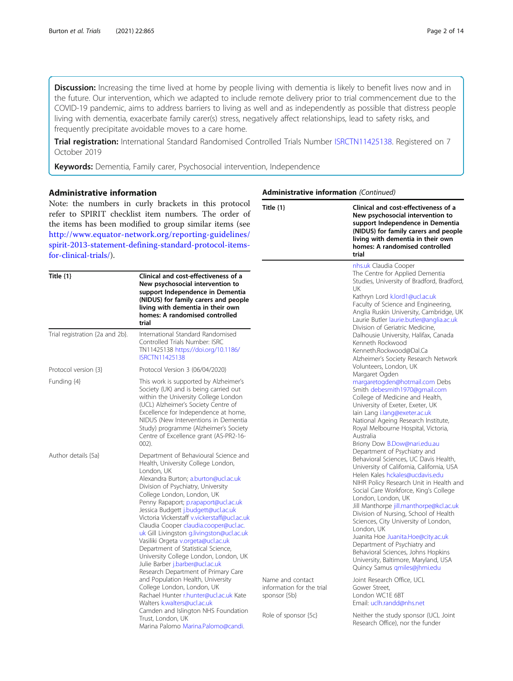Discussion: Increasing the time lived at home by people living with dementia is likely to benefit lives now and in the future. Our intervention, which we adapted to include remote delivery prior to trial commencement due to the COVID-19 pandemic, aims to address barriers to living as well and as independently as possible that distress people living with dementia, exacerbate family carer(s) stress, negatively affect relationships, lead to safety risks, and frequently precipitate avoidable moves to a care home.

Trial registration: International Standard Randomised Controlled Trials Number [ISRCTN11425138](https://doi.org/10.1186/ISRCTN11425138). Registered on 7 October 2019

Keywords: Dementia, Family carer, Psychosocial intervention, Independence

## Administrative information

Note: the numbers in curly brackets in this protocol refer to SPIRIT checklist item numbers. The order of the items has been modified to group similar items (see [http://www.equator-network.org/reporting-guidelines/](http://www.equator-network.org/reporting-guidelines/spirit-2013-statement-defining-standard-protocol-items-for-clinical-trials/) [spirit-2013-statement-defining-standard-protocol-items](http://www.equator-network.org/reporting-guidelines/spirit-2013-statement-defining-standard-protocol-items-for-clinical-trials/)[for-clinical-trials/](http://www.equator-network.org/reporting-guidelines/spirit-2013-statement-defining-standard-protocol-items-for-clinical-trials/)).

| Title $\{1\}$                   | Clinical and cost-effectiveness of a<br>New psychosocial intervention to<br>support Independence in Dementia<br>(NIDUS) for family carers and people<br>living with dementia in their own<br>homes: A randomised controlled<br>trial                                                                                                                                                                                                                                                                                                                                                                                      |                                                               | nhs.uk Claudia Cooper<br>The Centre for Applied Dementia<br>Studies, University of Bradford, Bradford,<br>UK<br>Kathryn Lord k.lord1@ucl.ac.uk<br>Faculty of Science and Engineering,<br>Anglia Ruskin University, Cambridge, UK<br>Laurie Butler laurie.butler@anglia.ac.uk<br>Division of Geriatric Medicine,                                                                                                                                                                                                                                                                               |
|---------------------------------|---------------------------------------------------------------------------------------------------------------------------------------------------------------------------------------------------------------------------------------------------------------------------------------------------------------------------------------------------------------------------------------------------------------------------------------------------------------------------------------------------------------------------------------------------------------------------------------------------------------------------|---------------------------------------------------------------|-----------------------------------------------------------------------------------------------------------------------------------------------------------------------------------------------------------------------------------------------------------------------------------------------------------------------------------------------------------------------------------------------------------------------------------------------------------------------------------------------------------------------------------------------------------------------------------------------|
| Trial registration {2a and 2b}. | International Standard Randomised<br>Controlled Trials Number: ISRC<br>TN11425138 https://doi.org/10.1186/<br><b>ISRCTN11425138</b>                                                                                                                                                                                                                                                                                                                                                                                                                                                                                       |                                                               | Dalhousie University, Halifax, Canada<br>Kenneth Rockwood<br>Kenneth.Rockwood@Dal.Ca<br>Alzheimer's Society Research Network                                                                                                                                                                                                                                                                                                                                                                                                                                                                  |
| Protocol version {3}            | Protocol Version 3 (06/04/2020)                                                                                                                                                                                                                                                                                                                                                                                                                                                                                                                                                                                           |                                                               | Volunteers, London, UK<br>Margaret Ogden                                                                                                                                                                                                                                                                                                                                                                                                                                                                                                                                                      |
| Funding {4}                     | This work is supported by Alzheimer's<br>Society (UK) and is being carried out<br>within the University College London<br>(UCL) Alzheimer's Society Centre of<br>Excellence for Independence at home,<br>NIDUS (New Interventions in Dementia<br>Study) programme (Alzheimer's Society<br>Centre of Excellence grant (AS-PR2-16-<br>$002$ ).                                                                                                                                                                                                                                                                              |                                                               | margaretogden@hotmail.com Debs<br>Smith debesmith1970@gmail.com<br>College of Medicine and Health,<br>University of Exeter, Exeter, UK<br>lain Lang i.lang@exeter.ac.uk<br>National Ageing Research Institute,<br>Royal Melbourne Hospital, Victoria,<br>Australia<br>Briony Dow B.Dow@nari.edu.au                                                                                                                                                                                                                                                                                            |
| Author details {5a}             | Department of Behavioural Science and<br>Health, University College London,<br>London, UK<br>Alexandra Burton; a.burton@ucl.ac.uk<br>Division of Psychiatry, University<br>College London, London, UK<br>Penny Rapaport; p.rapaport@ucl.ac.uk<br>Jessica Budgett j.budgett@ucl.ac.uk<br>Victoria Vickerstaff v.vickerstaff@ucl.ac.uk<br>Claudia Cooper claudia.cooper@ucl.ac.<br>uk Gill Livingston g.livingston@ucl.ac.uk<br>Vasiliki Orgeta v.orgeta@ucl.ac.uk<br>Department of Statistical Science,<br>University College London, London, UK<br>Julie Barber j.barber@ucl.ac.uk<br>Research Department of Primary Care |                                                               | Department of Psychiatry and<br>Behavioral Sciences, UC Davis Health,<br>University of California, California, USA<br>Helen Kales hckales@ucdavis.edu<br>NIHR Policy Research Unit in Health and<br>Social Care Workforce, King's College<br>London, London, UK<br>Jill Manthorpe jill.manthorpe@kcl.ac.uk<br>Division of Nursing, School of Health<br>Sciences, City University of London,<br>London, UK<br>Juanita Hoe Juanita.Hoe@city.ac.uk<br>Department of Psychiatry and<br>Behavioral Sciences, Johns Hopkins<br>University, Baltimore, Maryland, USA<br>Quincy Samus qmiles@jhmi.edu |
|                                 | and Population Health, University<br>College London, London, UK<br>Rachael Hunter r.hunter@ucl.ac.uk Kate<br>Walters kwalters@ucl.ac.uk                                                                                                                                                                                                                                                                                                                                                                                                                                                                                   | Name and contact<br>information for the trial<br>sponsor {5b} | Joint Research Office, UCL<br>Gower Street,<br>London WC1E 6BT<br>Email: uclh.randd@nhs.net                                                                                                                                                                                                                                                                                                                                                                                                                                                                                                   |
|                                 | Camden and Islington NHS Foundation<br>Trust, London, UK<br>Marina Palomo Marina.Palomo@candi.                                                                                                                                                                                                                                                                                                                                                                                                                                                                                                                            | Role of sponsor {5c}                                          | Neither the study sponsor (UCL Joint<br>Research Office), nor the funder                                                                                                                                                                                                                                                                                                                                                                                                                                                                                                                      |

#### Administrative information (Continued)

Title {1} Clinical and cost-effectiveness of a

trial

New psychosocial intervention to support Independence in Dementia (NIDUS) for family carers and people living with dementia in their own homes: A randomised controlled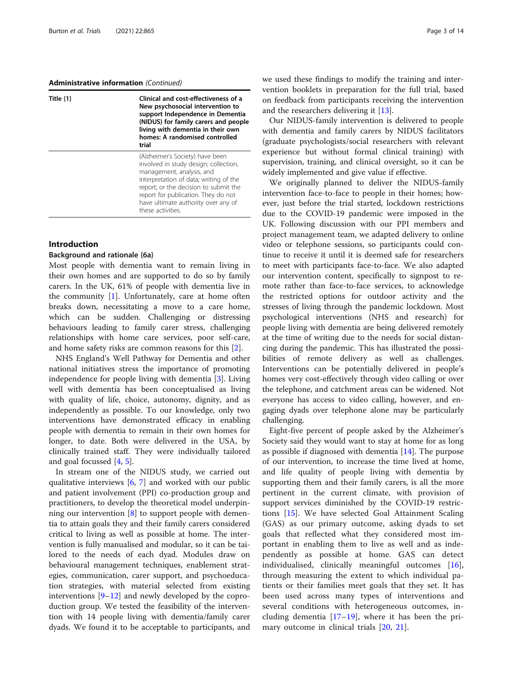#### Administrative information (Continued)

| Title $\{1\}$ | Clinical and cost-effectiveness of a<br>New psychosocial intervention to<br>support Independence in Dementia<br>(NIDUS) for family carers and people<br>living with dementia in their own<br>homes: A randomised controlled<br>trial                                                        |  |
|---------------|---------------------------------------------------------------------------------------------------------------------------------------------------------------------------------------------------------------------------------------------------------------------------------------------|--|
|               | (Alzheimer's Society) have been<br>involved in study design; collection,<br>management, analysis, and<br>interpretation of data; writing of the<br>report; or the decision to submit the<br>report for publication. They do not<br>have ultimate authority over any of<br>these activities. |  |

## Introduction

## Background and rationale {6a}

Most people with dementia want to remain living in their own homes and are supported to do so by family carers. In the UK, 61% of people with dementia live in the community [[1\]](#page-12-0). Unfortunately, care at home often breaks down, necessitating a move to a care home, which can be sudden. Challenging or distressing behaviours leading to family carer stress, challenging relationships with home care services, poor self-care, and home safety risks are common reasons for this [[2\]](#page-12-0).

NHS England's Well Pathway for Dementia and other national initiatives stress the importance of promoting independence for people living with dementia [[3\]](#page-12-0). Living well with dementia has been conceptualised as living with quality of life, choice, autonomy, dignity, and as independently as possible. To our knowledge, only two interventions have demonstrated efficacy in enabling people with dementia to remain in their own homes for longer, to date. Both were delivered in the USA, by clinically trained staff. They were individually tailored and goal focussed [\[4](#page-12-0), [5](#page-12-0)].

In stream one of the NIDUS study, we carried out qualitative interviews [[6,](#page-12-0) [7\]](#page-12-0) and worked with our public and patient involvement (PPI) co-production group and practitioners, to develop the theoretical model underpinning our intervention [\[8](#page-12-0)] to support people with dementia to attain goals they and their family carers considered critical to living as well as possible at home. The intervention is fully manualised and modular, so it can be tailored to the needs of each dyad. Modules draw on behavioural management techniques, enablement strategies, communication, carer support, and psychoeducation strategies, with material selected from existing interventions [[9](#page-12-0)–[12\]](#page-12-0) and newly developed by the coproduction group. We tested the feasibility of the intervention with 14 people living with dementia/family carer dyads. We found it to be acceptable to participants, and we used these findings to modify the training and intervention booklets in preparation for the full trial, based on feedback from participants receiving the intervention and the researchers delivering it [\[13\]](#page-12-0).

Our NIDUS-family intervention is delivered to people with dementia and family carers by NIDUS facilitators (graduate psychologists/social researchers with relevant experience but without formal clinical training) with supervision, training, and clinical oversight, so it can be widely implemented and give value if effective.

We originally planned to deliver the NIDUS-family intervention face-to-face to people in their homes; however, just before the trial started, lockdown restrictions due to the COVID-19 pandemic were imposed in the UK. Following discussion with our PPI members and project management team, we adapted delivery to online video or telephone sessions, so participants could continue to receive it until it is deemed safe for researchers to meet with participants face-to-face. We also adapted our intervention content, specifically to signpost to remote rather than face-to-face services, to acknowledge the restricted options for outdoor activity and the stresses of living through the pandemic lockdown. Most psychological interventions (NHS and research) for people living with dementia are being delivered remotely at the time of writing due to the needs for social distancing during the pandemic. This has illustrated the possibilities of remote delivery as well as challenges. Interventions can be potentially delivered in people's homes very cost-effectively through video calling or over the telephone, and catchment areas can be widened. Not everyone has access to video calling, however, and engaging dyads over telephone alone may be particularly challenging.

Eight-five percent of people asked by the Alzheimer's Society said they would want to stay at home for as long as possible if diagnosed with dementia  $[14]$  $[14]$ . The purpose of our intervention, to increase the time lived at home, and life quality of people living with dementia by supporting them and their family carers, is all the more pertinent in the current climate, with provision of support services diminished by the COVID-19 restrictions [[15\]](#page-12-0). We have selected Goal Attainment Scaling (GAS) as our primary outcome, asking dyads to set goals that reflected what they considered most important in enabling them to live as well and as independently as possible at home. GAS can detect individualised, clinically meaningful outcomes [\[16](#page-12-0)], through measuring the extent to which individual patients or their families meet goals that they set. It has been used across many types of interventions and several conditions with heterogeneous outcomes, including dementia  $[17–19]$  $[17–19]$  $[17–19]$  $[17–19]$ , where it has been the primary outcome in clinical trials [\[20](#page-12-0), [21](#page-12-0)].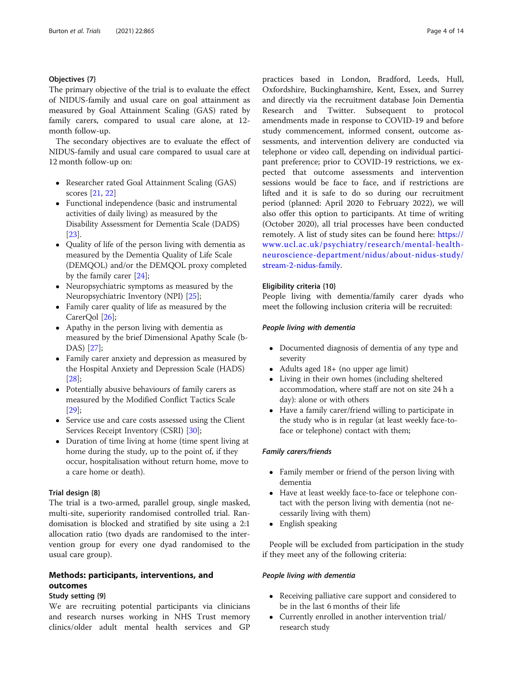## Objectives {7}

The primary objective of the trial is to evaluate the effect of NIDUS-family and usual care on goal attainment as measured by Goal Attainment Scaling (GAS) rated by family carers, compared to usual care alone, at 12 month follow-up.

The secondary objectives are to evaluate the effect of NIDUS-family and usual care compared to usual care at 12 month follow-up on:

- Researcher rated Goal Attainment Scaling (GAS) scores [[21](#page-12-0), [22\]](#page-12-0)
- Functional independence (basic and instrumental activities of daily living) as measured by the Disability Assessment for Dementia Scale (DADS) [[23](#page-13-0)].
- Quality of life of the person living with dementia as measured by the Dementia Quality of Life Scale (DEMQOL) and/or the DEMQOL proxy completed by the family carer [[24](#page-13-0)];
- Neuropsychiatric symptoms as measured by the Neuropsychiatric Inventory (NPI) [[25](#page-13-0)];
- Family carer quality of life as measured by the CarerOol [\[26](#page-13-0)];
- Apathy in the person living with dementia as measured by the brief Dimensional Apathy Scale (b-DAS) [[27](#page-13-0)];
- Family carer anxiety and depression as measured by the Hospital Anxiety and Depression Scale (HADS) [[28](#page-13-0)];
- Potentially abusive behaviours of family carers as measured by the Modified Conflict Tactics Scale [[29](#page-13-0)];
- Service use and care costs assessed using the Client Services Receipt Inventory (CSRI) [\[30\]](#page-13-0);
- Duration of time living at home (time spent living at home during the study, up to the point of, if they occur, hospitalisation without return home, move to a care home or death).

## Trial design {8}

The trial is a two-armed, parallel group, single masked, multi-site, superiority randomised controlled trial. Randomisation is blocked and stratified by site using a 2:1 allocation ratio (two dyads are randomised to the intervention group for every one dyad randomised to the usual care group).

# Methods: participants, interventions, and outcomes

#### Study setting {9}

We are recruiting potential participants via clinicians and research nurses working in NHS Trust memory clinics/older adult mental health services and GP practices based in London, Bradford, Leeds, Hull, Oxfordshire, Buckinghamshire, Kent, Essex, and Surrey and directly via the recruitment database Join Dementia Research and Twitter. Subsequent to protocol amendments made in response to COVID-19 and before study commencement, informed consent, outcome assessments, and intervention delivery are conducted via telephone or video call, depending on individual participant preference; prior to COVID-19 restrictions, we expected that outcome assessments and intervention sessions would be face to face, and if restrictions are lifted and it is safe to do so during our recruitment period (planned: April 2020 to February 2022), we will also offer this option to participants. At time of writing (October 2020), all trial processes have been conducted remotely. A list of study sites can be found here: [https://](https://www.ucl.ac.uk/psychiatry/research/mental-health-neuroscience-department/nidus/about-nidus-study/stream-2-nidus-family) [www.ucl.ac.uk/psychiatry/research/mental-health](https://www.ucl.ac.uk/psychiatry/research/mental-health-neuroscience-department/nidus/about-nidus-study/stream-2-nidus-family)[neuroscience-department/nidus/about-nidus-study/](https://www.ucl.ac.uk/psychiatry/research/mental-health-neuroscience-department/nidus/about-nidus-study/stream-2-nidus-family) [stream-2-nidus-family](https://www.ucl.ac.uk/psychiatry/research/mental-health-neuroscience-department/nidus/about-nidus-study/stream-2-nidus-family).

## Eligibility criteria {10}

People living with dementia/family carer dyads who meet the following inclusion criteria will be recruited:

#### People living with dementia

- Documented diagnosis of dementia of any type and severity
- Adults aged 18+ (no upper age limit)
- Living in their own homes (including sheltered accommodation, where staff are not on site 24 h a day): alone or with others
- Have a family carer/friend willing to participate in the study who is in regular (at least weekly face-toface or telephone) contact with them;

## Family carers/friends

- Family member or friend of the person living with dementia
- Have at least weekly face-to-face or telephone contact with the person living with dementia (not necessarily living with them)
- English speaking

People will be excluded from participation in the study if they meet any of the following criteria:

#### People living with dementia

- Receiving palliative care support and considered to be in the last 6 months of their life
- Currently enrolled in another intervention trial/ research study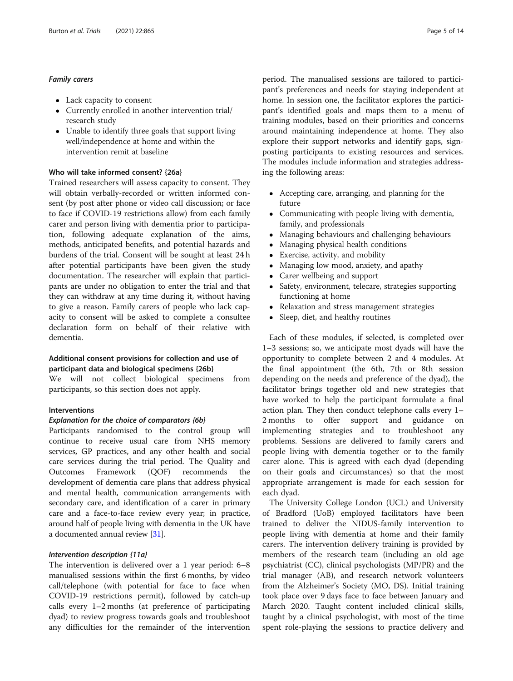## Family carers

- Lack capacity to consent
- Currently enrolled in another intervention trial/ research study
- Unable to identify three goals that support living well/independence at home and within the intervention remit at baseline

#### Who will take informed consent? {26a}

Trained researchers will assess capacity to consent. They will obtain verbally-recorded or written informed consent (by post after phone or video call discussion; or face to face if COVID-19 restrictions allow) from each family carer and person living with dementia prior to participation, following adequate explanation of the aims, methods, anticipated benefits, and potential hazards and burdens of the trial. Consent will be sought at least 24 h after potential participants have been given the study documentation. The researcher will explain that participants are under no obligation to enter the trial and that they can withdraw at any time during it, without having to give a reason. Family carers of people who lack capacity to consent will be asked to complete a consultee declaration form on behalf of their relative with dementia.

## Additional consent provisions for collection and use of participant data and biological specimens {26b}

We will not collect biological specimens from participants, so this section does not apply.

## Interventions

#### Explanation for the choice of comparators {6b}

Participants randomised to the control group will continue to receive usual care from NHS memory services, GP practices, and any other health and social care services during the trial period. The Quality and Outcomes Framework (QOF) recommends the development of dementia care plans that address physical and mental health, communication arrangements with secondary care, and identification of a carer in primary care and a face-to-face review every year; in practice, around half of people living with dementia in the UK have a documented annual review [\[31](#page-13-0)].

## Intervention description {11a}

The intervention is delivered over a 1 year period: 6–8 manualised sessions within the first 6 months, by video call/telephone (with potential for face to face when COVID-19 restrictions permit), followed by catch-up calls every 1–2 months (at preference of participating dyad) to review progress towards goals and troubleshoot any difficulties for the remainder of the intervention

period. The manualised sessions are tailored to participant's preferences and needs for staying independent at home. In session one, the facilitator explores the participant's identified goals and maps them to a menu of training modules, based on their priorities and concerns around maintaining independence at home. They also explore their support networks and identify gaps, signposting participants to existing resources and services. The modules include information and strategies addressing the following areas:

- Accepting care, arranging, and planning for the future
- Communicating with people living with dementia, family, and professionals
- Managing behaviours and challenging behaviours
- Managing physical health conditions
- Exercise, activity, and mobility
- Managing low mood, anxiety, and apathy<br>• Carer wellbeing and support
- Carer wellbeing and support<br>• Safety, environment, telecare
- Safety, environment, telecare, strategies supporting functioning at home
- Relaxation and stress management strategies
- Sleep, diet, and healthy routines

Each of these modules, if selected, is completed over 1–3 sessions; so, we anticipate most dyads will have the opportunity to complete between 2 and 4 modules. At the final appointment (the 6th, 7th or 8th session depending on the needs and preference of the dyad), the facilitator brings together old and new strategies that have worked to help the participant formulate a final action plan. They then conduct telephone calls every 1– 2 months to offer support and guidance on implementing strategies and to troubleshoot any problems. Sessions are delivered to family carers and people living with dementia together or to the family carer alone. This is agreed with each dyad (depending on their goals and circumstances) so that the most appropriate arrangement is made for each session for each dyad.

The University College London (UCL) and University of Bradford (UoB) employed facilitators have been trained to deliver the NIDUS-family intervention to people living with dementia at home and their family carers. The intervention delivery training is provided by members of the research team (including an old age psychiatrist (CC), clinical psychologists (MP/PR) and the trial manager (AB), and research network volunteers from the Alzheimer's Society (MO, DS). Initial training took place over 9 days face to face between January and March 2020. Taught content included clinical skills, taught by a clinical psychologist, with most of the time spent role-playing the sessions to practice delivery and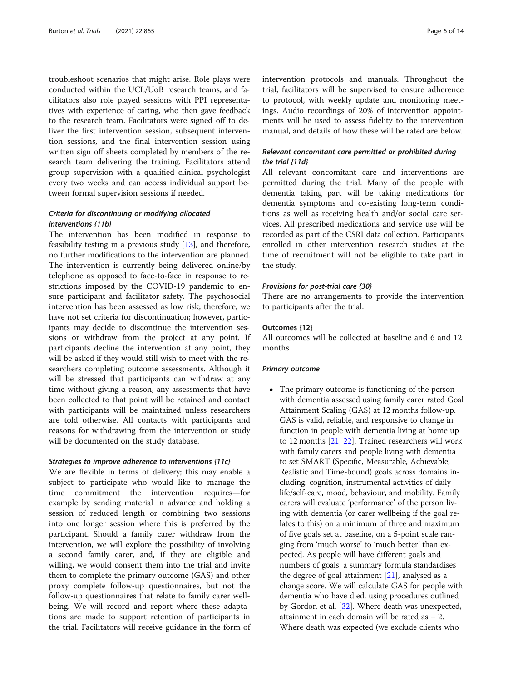troubleshoot scenarios that might arise. Role plays were conducted within the UCL/UoB research teams, and facilitators also role played sessions with PPI representatives with experience of caring, who then gave feedback to the research team. Facilitators were signed off to deliver the first intervention session, subsequent intervention sessions, and the final intervention session using written sign off sheets completed by members of the research team delivering the training. Facilitators attend group supervision with a qualified clinical psychologist every two weeks and can access individual support between formal supervision sessions if needed.

# Criteria for discontinuing or modifying allocated interventions {11b}

The intervention has been modified in response to feasibility testing in a previous study [\[13](#page-12-0)], and therefore, no further modifications to the intervention are planned. The intervention is currently being delivered online/by telephone as opposed to face-to-face in response to restrictions imposed by the COVID-19 pandemic to ensure participant and facilitator safety. The psychosocial intervention has been assessed as low risk; therefore, we have not set criteria for discontinuation; however, participants may decide to discontinue the intervention sessions or withdraw from the project at any point. If participants decline the intervention at any point, they will be asked if they would still wish to meet with the researchers completing outcome assessments. Although it will be stressed that participants can withdraw at any time without giving a reason, any assessments that have been collected to that point will be retained and contact with participants will be maintained unless researchers are told otherwise. All contacts with participants and reasons for withdrawing from the intervention or study will be documented on the study database.

#### Strategies to improve adherence to interventions {11c}

We are flexible in terms of delivery; this may enable a subject to participate who would like to manage the time commitment the intervention requires—for example by sending material in advance and holding a session of reduced length or combining two sessions into one longer session where this is preferred by the participant. Should a family carer withdraw from the intervention, we will explore the possibility of involving a second family carer, and, if they are eligible and willing, we would consent them into the trial and invite them to complete the primary outcome (GAS) and other proxy complete follow-up questionnaires, but not the follow-up questionnaires that relate to family carer wellbeing. We will record and report where these adaptations are made to support retention of participants in the trial. Facilitators will receive guidance in the form of intervention protocols and manuals. Throughout the trial, facilitators will be supervised to ensure adherence to protocol, with weekly update and monitoring meetings. Audio recordings of 20% of intervention appointments will be used to assess fidelity to the intervention manual, and details of how these will be rated are below.

## Relevant concomitant care permitted or prohibited during the trial {11d}

All relevant concomitant care and interventions are permitted during the trial. Many of the people with dementia taking part will be taking medications for dementia symptoms and co-existing long-term conditions as well as receiving health and/or social care services. All prescribed medications and service use will be recorded as part of the CSRI data collection. Participants enrolled in other intervention research studies at the time of recruitment will not be eligible to take part in the study.

#### Provisions for post-trial care {30}

There are no arrangements to provide the intervention to participants after the trial.

#### Outcomes {12}

All outcomes will be collected at baseline and 6 and 12 months.

#### Primary outcome

• The primary outcome is functioning of the person with dementia assessed using family carer rated Goal Attainment Scaling (GAS) at 12 months follow-up. GAS is valid, reliable, and responsive to change in function in people with dementia living at home up to 12 months [\[21,](#page-12-0) [22](#page-12-0)]. Trained researchers will work with family carers and people living with dementia to set SMART (Specific, Measurable, Achievable, Realistic and Time-bound) goals across domains including: cognition, instrumental activities of daily life/self-care, mood, behaviour, and mobility. Family carers will evaluate 'performance' of the person living with dementia (or carer wellbeing if the goal relates to this) on a minimum of three and maximum of five goals set at baseline, on a 5-point scale ranging from 'much worse' to 'much better' than expected. As people will have different goals and numbers of goals, a summary formula standardises the degree of goal attainment  $[21]$ , analysed as a change score. We will calculate GAS for people with dementia who have died, using procedures outlined by Gordon et al. [[32](#page-13-0)]. Where death was unexpected, attainment in each domain will be rated as − 2. Where death was expected (we exclude clients who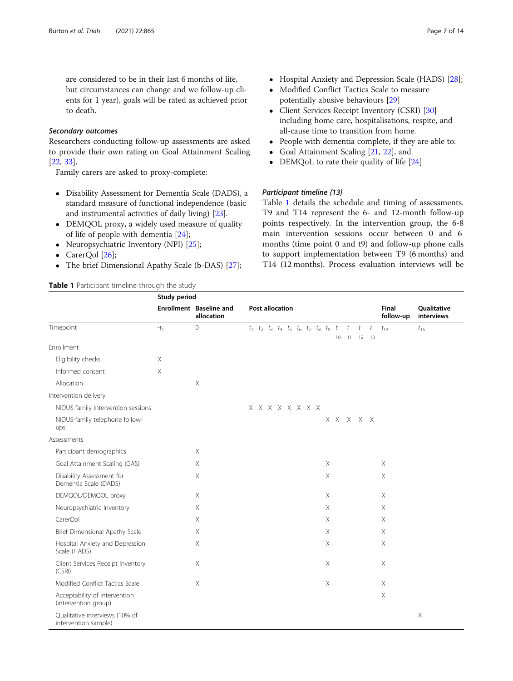<span id="page-6-0"></span>are considered to be in their last 6 months of life, but circumstances can change and we follow-up clients for 1 year), goals will be rated as achieved prior to death.

#### Secondary outcomes

Researchers conducting follow-up assessments are asked to provide their own rating on Goal Attainment Scaling [[22,](#page-12-0) [33\]](#page-13-0).

Family carers are asked to proxy-complete:

- Disability Assessment for Dementia Scale (DADS), a standard measure of functional independence (basic and instrumental activities of daily living) [[23](#page-13-0)].
- DEMQOL proxy, a widely used measure of quality of life of people with dementia [\[24\]](#page-13-0);
- Neuropsychiatric Inventory (NPI) [[25](#page-13-0)];
- CarerOol [\[26](#page-13-0)];
- The brief Dimensional Apathy Scale (b-DAS) [\[27](#page-13-0)];

# Table 1 Participant timeline through the study

- Hospital Anxiety and Depression Scale (HADS) [[28](#page-13-0)];
- Modified Conflict Tactics Scale to measure potentially abusive behaviours [[29](#page-13-0)]
- Client Services Receipt Inventory (CSRI) [[30](#page-13-0)] including home care, hospitalisations, respite, and all-cause time to transition from home.
- People with dementia complete, if they are able to:
- Goal Attainment Scaling [\[21,](#page-12-0) [22\]](#page-12-0), and<br>• DEMOoL to rate their quality of life [1]
- DEMQoL to rate their quality of life [\[24](#page-13-0)]

## Participant timeline {13}

Table 1 details the schedule and timing of assessments. T9 and T14 represent the 6- and 12-month follow-up points respectively. In the intervention group, the 6-8 main intervention sessions occur between 0 and 6 months (time point 0 and t9) and follow-up phone calls to support implementation between T9 (6 months) and T14 (12 months). Process evaluation interviews will be

|                                                        | Study period |                                       |                                                                                                 |
|--------------------------------------------------------|--------------|---------------------------------------|-------------------------------------------------------------------------------------------------|
|                                                        |              | Enrollment Baseline and<br>allocation | Post allocation<br>Final<br>Qualitative<br>follow-up<br>interviews                              |
| Timepoint                                              | $-t_1$       | $\mathbf 0$                           | $t_1$ $t_2$ $t_3$ $t_4$ $t_5$ $t_6$ $t_7$ $t_8$ $t_9$ $t_1$ $t_1$ $t_1$<br>$t_{14}$<br>$t_{15}$ |
|                                                        |              |                                       | $12 \t 13$<br>10<br>11                                                                          |
| Enrollment                                             |              |                                       |                                                                                                 |
| Eligibility checks                                     | X            |                                       |                                                                                                 |
| Informed consent                                       | Χ            |                                       |                                                                                                 |
| Allocation                                             |              | $\times$                              |                                                                                                 |
| Intervention delivery                                  |              |                                       |                                                                                                 |
| NIDUS-family Intervention sessions                     |              |                                       | $X$ $X$ $X$ $X$ $X$ $X$ $X$ $X$                                                                 |
| NIDUS-family telephone follow-<br>ups                  |              |                                       | X X X X X                                                                                       |
| Assessments                                            |              |                                       |                                                                                                 |
| Participant demographics                               |              | $\boldsymbol{\mathsf{X}}$             |                                                                                                 |
| Goal Attainment Scaling (GAS)                          |              | $\boldsymbol{\mathsf{X}}$             | $\boldsymbol{\mathsf{X}}$<br>$\times$                                                           |
| Disability Assessment for<br>Dementia Scale (DADS)     |              | $\times$                              | $\times$<br>$\times$                                                                            |
| DEMQOL/DEMQOL proxy                                    |              | $\times$                              | $\times$<br>$\times$                                                                            |
| Neuropsychiatric Inventory                             |              | $\times$                              | $\times$<br>$\times$                                                                            |
| CarerQol                                               |              | $\times$                              | $\times$<br>$\times$                                                                            |
| Brief Dimensional Apathy Scale                         |              | X                                     | Χ<br>Χ                                                                                          |
| Hospital Anxiety and Depression<br>Scale (HADS)        |              | $\times$                              | X<br>$\times$                                                                                   |
| Client Services Receipt Inventory<br>(CSRI)            |              | $\times$                              | $\times$<br>$\times$                                                                            |
| Modified Conflict Tactics Scale                        |              | $\times$                              | $\boldsymbol{\mathsf{X}}$<br>X                                                                  |
| Acceptability of intervention<br>(intervention group)  |              |                                       | $\mathsf X$                                                                                     |
| Qualitative interviews (10% of<br>intervention sample) |              |                                       | $\times$                                                                                        |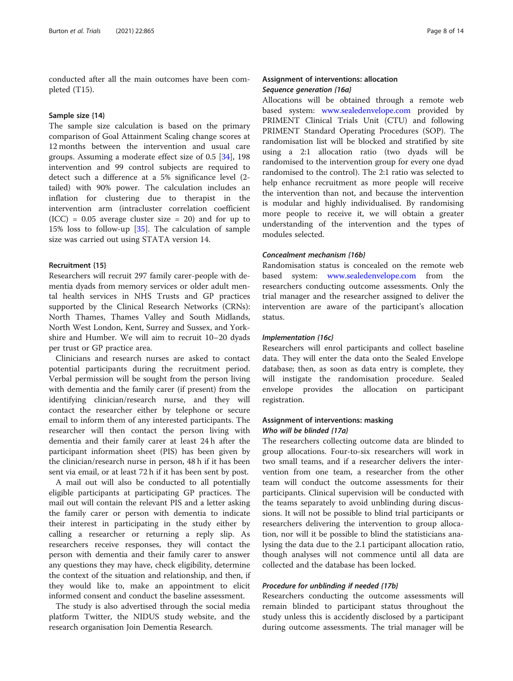conducted after all the main outcomes have been completed (T15).

#### Sample size {14}

The sample size calculation is based on the primary comparison of Goal Attainment Scaling change scores at 12 months between the intervention and usual care groups. Assuming a moderate effect size of 0.5 [\[34](#page-13-0)], 198 intervention and 99 control subjects are required to detect such a difference at a 5% significance level (2 tailed) with 90% power. The calculation includes an inflation for clustering due to therapist in the intervention arm (intracluster correlation coefficient  $(ICC) = 0.05$  average cluster size = 20) and for up to 15% loss to follow-up [[35\]](#page-13-0). The calculation of sample size was carried out using STATA version 14.

#### Recruitment {15}

Researchers will recruit 297 family carer-people with dementia dyads from memory services or older adult mental health services in NHS Trusts and GP practices supported by the Clinical Research Networks (CRNs): North Thames, Thames Valley and South Midlands, North West London, Kent, Surrey and Sussex, and Yorkshire and Humber. We will aim to recruit 10–20 dyads per trust or GP practice area.

Clinicians and research nurses are asked to contact potential participants during the recruitment period. Verbal permission will be sought from the person living with dementia and the family carer (if present) from the identifying clinician/research nurse, and they will contact the researcher either by telephone or secure email to inform them of any interested participants. The researcher will then contact the person living with dementia and their family carer at least 24 h after the participant information sheet (PIS) has been given by the clinician/research nurse in person, 48 h if it has been sent via email, or at least 72 h if it has been sent by post.

A mail out will also be conducted to all potentially eligible participants at participating GP practices. The mail out will contain the relevant PIS and a letter asking the family carer or person with dementia to indicate their interest in participating in the study either by calling a researcher or returning a reply slip. As researchers receive responses, they will contact the person with dementia and their family carer to answer any questions they may have, check eligibility, determine the context of the situation and relationship, and then, if they would like to, make an appointment to elicit informed consent and conduct the baseline assessment.

The study is also advertised through the social media platform Twitter, the NIDUS study website, and the research organisation Join Dementia Research.

## Assignment of interventions: allocation Sequence generation {16a}

Allocations will be obtained through a remote web based system: [www.sealedenvelope.com](http://www.sealedenvelope.com) provided by PRIMENT Clinical Trials Unit (CTU) and following PRIMENT Standard Operating Procedures (SOP). The randomisation list will be blocked and stratified by site using a 2:1 allocation ratio (two dyads will be randomised to the intervention group for every one dyad randomised to the control). The 2:1 ratio was selected to help enhance recruitment as more people will receive the intervention than not, and because the intervention is modular and highly individualised. By randomising more people to receive it, we will obtain a greater understanding of the intervention and the types of modules selected.

#### Concealment mechanism {16b}

Randomisation status is concealed on the remote web based system: [www.sealedenvelope.com](http://www.sealedenvelope.com) from the researchers conducting outcome assessments. Only the trial manager and the researcher assigned to deliver the intervention are aware of the participant's allocation status.

#### Implementation {16c}

Researchers will enrol participants and collect baseline data. They will enter the data onto the Sealed Envelope database; then, as soon as data entry is complete, they will instigate the randomisation procedure. Sealed envelope provides the allocation on participant registration.

## Assignment of interventions: masking Who will be blinded {17a}

The researchers collecting outcome data are blinded to group allocations. Four-to-six researchers will work in two small teams, and if a researcher delivers the intervention from one team, a researcher from the other team will conduct the outcome assessments for their participants. Clinical supervision will be conducted with the teams separately to avoid unblinding during discussions. It will not be possible to blind trial participants or researchers delivering the intervention to group allocation, nor will it be possible to blind the statisticians analysing the data due to the 2.1 participant allocation ratio, though analyses will not commence until all data are collected and the database has been locked.

## Procedure for unblinding if needed {17b}

Researchers conducting the outcome assessments will remain blinded to participant status throughout the study unless this is accidently disclosed by a participant during outcome assessments. The trial manager will be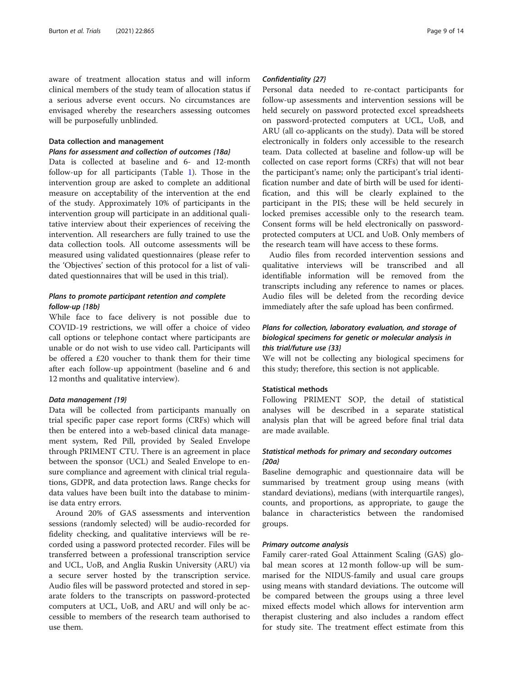aware of treatment allocation status and will inform clinical members of the study team of allocation status if a serious adverse event occurs. No circumstances are envisaged whereby the researchers assessing outcomes will be purposefully unblinded.

## Data collection and management

#### Plans for assessment and collection of outcomes {18a}

Data is collected at baseline and 6- and 12-month follow-up for all participants (Table [1](#page-6-0)). Those in the intervention group are asked to complete an additional measure on acceptability of the intervention at the end of the study. Approximately 10% of participants in the intervention group will participate in an additional qualitative interview about their experiences of receiving the intervention. All researchers are fully trained to use the data collection tools. All outcome assessments will be measured using validated questionnaires (please refer to the 'Objectives' section of this protocol for a list of validated questionnaires that will be used in this trial).

## Plans to promote participant retention and complete follow-up {18b}

While face to face delivery is not possible due to COVID-19 restrictions, we will offer a choice of video call options or telephone contact where participants are unable or do not wish to use video call. Participants will be offered a £20 voucher to thank them for their time after each follow-up appointment (baseline and 6 and 12 months and qualitative interview).

## Data management {19}

Data will be collected from participants manually on trial specific paper case report forms (CRFs) which will then be entered into a web-based clinical data management system, Red Pill, provided by Sealed Envelope through PRIMENT CTU. There is an agreement in place between the sponsor (UCL) and Sealed Envelope to ensure compliance and agreement with clinical trial regulations, GDPR, and data protection laws. Range checks for data values have been built into the database to minimise data entry errors.

Around 20% of GAS assessments and intervention sessions (randomly selected) will be audio-recorded for fidelity checking, and qualitative interviews will be recorded using a password protected recorder. Files will be transferred between a professional transcription service and UCL, UoB, and Anglia Ruskin University (ARU) via a secure server hosted by the transcription service. Audio files will be password protected and stored in separate folders to the transcripts on password-protected computers at UCL, UoB, and ARU and will only be accessible to members of the research team authorised to use them.

#### Confidentiality {27}

Personal data needed to re-contact participants for follow-up assessments and intervention sessions will be held securely on password protected excel spreadsheets on password-protected computers at UCL, UoB, and ARU (all co-applicants on the study). Data will be stored electronically in folders only accessible to the research team. Data collected at baseline and follow-up will be collected on case report forms (CRFs) that will not bear the participant's name; only the participant's trial identification number and date of birth will be used for identification, and this will be clearly explained to the participant in the PIS; these will be held securely in locked premises accessible only to the research team. Consent forms will be held electronically on passwordprotected computers at UCL and UoB. Only members of the research team will have access to these forms.

Audio files from recorded intervention sessions and qualitative interviews will be transcribed and all identifiable information will be removed from the transcripts including any reference to names or places. Audio files will be deleted from the recording device immediately after the safe upload has been confirmed.

## Plans for collection, laboratory evaluation, and storage of biological specimens for genetic or molecular analysis in this trial/future use {33}

We will not be collecting any biological specimens for this study; therefore, this section is not applicable.

## Statistical methods

Following PRIMENT SOP, the detail of statistical analyses will be described in a separate statistical analysis plan that will be agreed before final trial data are made available.

## Statistical methods for primary and secondary outcomes {20a}

Baseline demographic and questionnaire data will be summarised by treatment group using means (with standard deviations), medians (with interquartile ranges), counts, and proportions, as appropriate, to gauge the balance in characteristics between the randomised groups.

#### Primary outcome analysis

Family carer-rated Goal Attainment Scaling (GAS) global mean scores at 12 month follow-up will be summarised for the NIDUS-family and usual care groups using means with standard deviations. The outcome will be compared between the groups using a three level mixed effects model which allows for intervention arm therapist clustering and also includes a random effect for study site. The treatment effect estimate from this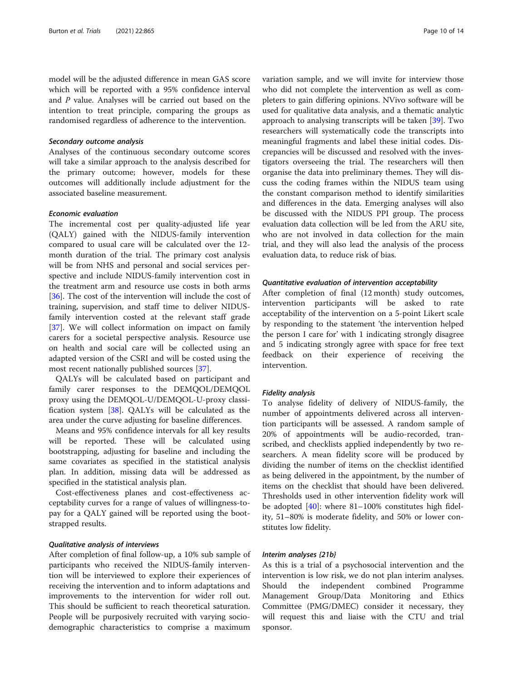model will be the adjusted difference in mean GAS score which will be reported with a 95% confidence interval and P value. Analyses will be carried out based on the intention to treat principle, comparing the groups as randomised regardless of adherence to the intervention.

#### Secondary outcome analysis

Analyses of the continuous secondary outcome scores will take a similar approach to the analysis described for the primary outcome; however, models for these outcomes will additionally include adjustment for the associated baseline measurement.

## Economic evaluation

The incremental cost per quality-adjusted life year (QALY) gained with the NIDUS-family intervention compared to usual care will be calculated over the 12 month duration of the trial. The primary cost analysis will be from NHS and personal and social services perspective and include NIDUS-family intervention cost in the treatment arm and resource use costs in both arms [[36\]](#page-13-0). The cost of the intervention will include the cost of training, supervision, and staff time to deliver NIDUSfamily intervention costed at the relevant staff grade [[37\]](#page-13-0). We will collect information on impact on family carers for a societal perspective analysis. Resource use on health and social care will be collected using an adapted version of the CSRI and will be costed using the most recent nationally published sources [\[37](#page-13-0)].

QALYs will be calculated based on participant and family carer responses to the DEMQOL/DEMQOL proxy using the DEMQOL-U/DEMQOL-U-proxy classification system [\[38](#page-13-0)]. QALYs will be calculated as the area under the curve adjusting for baseline differences.

Means and 95% confidence intervals for all key results will be reported. These will be calculated using bootstrapping, adjusting for baseline and including the same covariates as specified in the statistical analysis plan. In addition, missing data will be addressed as specified in the statistical analysis plan.

Cost-effectiveness planes and cost-effectiveness acceptability curves for a range of values of willingness-topay for a QALY gained will be reported using the bootstrapped results.

## Qualitative analysis of interviews

After completion of final follow-up, a 10% sub sample of participants who received the NIDUS-family intervention will be interviewed to explore their experiences of receiving the intervention and to inform adaptations and improvements to the intervention for wider roll out. This should be sufficient to reach theoretical saturation. People will be purposively recruited with varying sociodemographic characteristics to comprise a maximum

variation sample, and we will invite for interview those who did not complete the intervention as well as completers to gain differing opinions. NVivo software will be used for qualitative data analysis, and a thematic analytic approach to analysing transcripts will be taken [[39\]](#page-13-0). Two researchers will systematically code the transcripts into meaningful fragments and label these initial codes. Discrepancies will be discussed and resolved with the investigators overseeing the trial. The researchers will then organise the data into preliminary themes. They will discuss the coding frames within the NIDUS team using the constant comparison method to identify similarities and differences in the data. Emerging analyses will also be discussed with the NIDUS PPI group. The process evaluation data collection will be led from the ARU site, who are not involved in data collection for the main trial, and they will also lead the analysis of the process evaluation data, to reduce risk of bias.

#### Quantitative evaluation of intervention acceptability

After completion of final (12 month) study outcomes, intervention participants will be asked to rate acceptability of the intervention on a 5-point Likert scale by responding to the statement 'the intervention helped the person I care for' with 1 indicating strongly disagree and 5 indicating strongly agree with space for free text feedback on their experience of receiving the intervention.

## Fidelity analysis

To analyse fidelity of delivery of NIDUS-family, the number of appointments delivered across all intervention participants will be assessed. A random sample of 20% of appointments will be audio-recorded, transcribed, and checklists applied independently by two researchers. A mean fidelity score will be produced by dividing the number of items on the checklist identified as being delivered in the appointment, by the number of items on the checklist that should have been delivered. Thresholds used in other intervention fidelity work will be adopted [\[40\]](#page-13-0): where 81–100% constitutes high fidelity, 51–80% is moderate fidelity, and 50% or lower constitutes low fidelity.

#### Interim analyses {21b}

As this is a trial of a psychosocial intervention and the intervention is low risk, we do not plan interim analyses. Should the independent combined Programme Management Group/Data Monitoring and Ethics Committee (PMG/DMEC) consider it necessary, they will request this and liaise with the CTU and trial sponsor.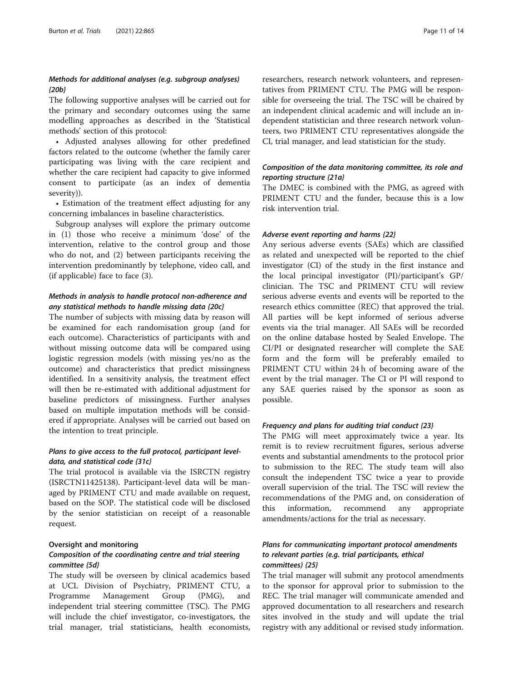## Methods for additional analyses (e.g. subgroup analyses) {20b}

The following supportive analyses will be carried out for the primary and secondary outcomes using the same modelling approaches as described in the 'Statistical methods' section of this protocol:

• Adjusted analyses allowing for other predefined factors related to the outcome (whether the family carer participating was living with the care recipient and whether the care recipient had capacity to give informed consent to participate (as an index of dementia severity)).

• Estimation of the treatment effect adjusting for any concerning imbalances in baseline characteristics.

Subgroup analyses will explore the primary outcome in (1) those who receive a minimum 'dose' of the intervention, relative to the control group and those who do not, and (2) between participants receiving the intervention predominantly by telephone, video call, and (if applicable) face to face (3).

## Methods in analysis to handle protocol non-adherence and any statistical methods to handle missing data {20c}

The number of subjects with missing data by reason will be examined for each randomisation group (and for each outcome). Characteristics of participants with and without missing outcome data will be compared using logistic regression models (with missing yes/no as the outcome) and characteristics that predict missingness identified. In a sensitivity analysis, the treatment effect will then be re-estimated with additional adjustment for baseline predictors of missingness. Further analyses based on multiple imputation methods will be considered if appropriate. Analyses will be carried out based on the intention to treat principle.

## Plans to give access to the full protocol, participant leveldata, and statistical code {31c}

The trial protocol is available via the ISRCTN registry (ISRCTN11425138). Participant-level data will be managed by PRIMENT CTU and made available on request, based on the SOP. The statistical code will be disclosed by the senior statistician on receipt of a reasonable request.

## Oversight and monitoring

## Composition of the coordinating centre and trial steering committee {5d}

The study will be overseen by clinical academics based at UCL Division of Psychiatry, PRIMENT CTU, a Programme Management Group (PMG), and independent trial steering committee (TSC). The PMG will include the chief investigator, co-investigators, the trial manager, trial statisticians, health economists,

researchers, research network volunteers, and representatives from PRIMENT CTU. The PMG will be responsible for overseeing the trial. The TSC will be chaired by an independent clinical academic and will include an independent statistician and three research network volunteers, two PRIMENT CTU representatives alongside the CI, trial manager, and lead statistician for the study.

## Composition of the data monitoring committee, its role and reporting structure {21a}

The DMEC is combined with the PMG, as agreed with PRIMENT CTU and the funder, because this is a low risk intervention trial.

## Adverse event reporting and harms {22}

Any serious adverse events (SAEs) which are classified as related and unexpected will be reported to the chief investigator (CI) of the study in the first instance and the local principal investigator (PI)/participant's GP/ clinician. The TSC and PRIMENT CTU will review serious adverse events and events will be reported to the research ethics committee (REC) that approved the trial. All parties will be kept informed of serious adverse events via the trial manager. All SAEs will be recorded on the online database hosted by Sealed Envelope. The CI/PI or designated researcher will complete the SAE form and the form will be preferably emailed to PRIMENT CTU within 24 h of becoming aware of the event by the trial manager. The CI or PI will respond to any SAE queries raised by the sponsor as soon as possible.

#### Frequency and plans for auditing trial conduct {23}

The PMG will meet approximately twice a year. Its remit is to review recruitment figures, serious adverse events and substantial amendments to the protocol prior to submission to the REC. The study team will also consult the independent TSC twice a year to provide overall supervision of the trial. The TSC will review the recommendations of the PMG and, on consideration of this information, recommend any appropriate amendments/actions for the trial as necessary.

## Plans for communicating important protocol amendments to relevant parties (e.g. trial participants, ethical committees) {25}

The trial manager will submit any protocol amendments to the sponsor for approval prior to submission to the REC. The trial manager will communicate amended and approved documentation to all researchers and research sites involved in the study and will update the trial registry with any additional or revised study information.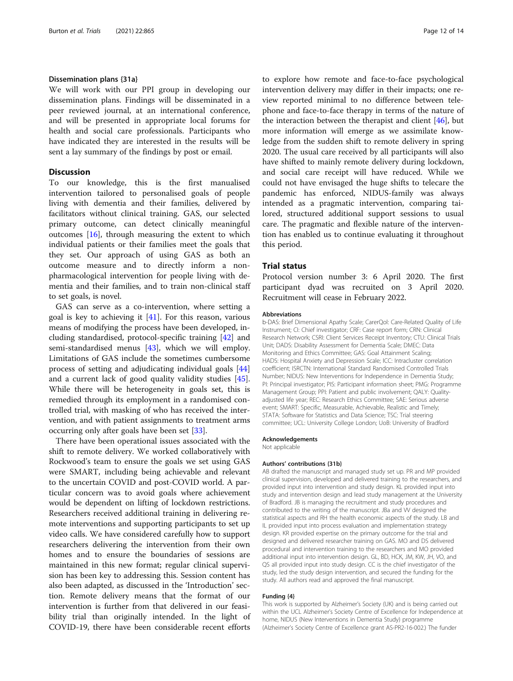#### Dissemination plans {31a}

We will work with our PPI group in developing our dissemination plans. Findings will be disseminated in a peer reviewed journal, at an international conference, and will be presented in appropriate local forums for health and social care professionals. Participants who have indicated they are interested in the results will be sent a lay summary of the findings by post or email.

## **Discussion**

To our knowledge, this is the first manualised intervention tailored to personalised goals of people living with dementia and their families, delivered by facilitators without clinical training. GAS, our selected primary outcome, can detect clinically meaningful outcomes [[16](#page-12-0)], through measuring the extent to which individual patients or their families meet the goals that they set. Our approach of using GAS as both an outcome measure and to directly inform a nonpharmacological intervention for people living with dementia and their families, and to train non-clinical staff to set goals, is novel.

GAS can serve as a co-intervention, where setting a goal is key to achieving it  $[41]$  $[41]$  $[41]$ . For this reason, various means of modifying the process have been developed, including standardised, protocol-specific training [[42](#page-13-0)] and semi-standardised menus [[43](#page-13-0)], which we will employ. Limitations of GAS include the sometimes cumbersome process of setting and adjudicating individual goals [[44](#page-13-0)] and a current lack of good quality validity studies [\[45](#page-13-0)]. While there will be heterogeneity in goals set, this is remedied through its employment in a randomised controlled trial, with masking of who has received the intervention, and with patient assignments to treatment arms occurring only after goals have been set [[33](#page-13-0)].

There have been operational issues associated with the shift to remote delivery. We worked collaboratively with Rockwood's team to ensure the goals we set using GAS were SMART, including being achievable and relevant to the uncertain COVID and post-COVID world. A particular concern was to avoid goals where achievement would be dependent on lifting of lockdown restrictions. Researchers received additional training in delivering remote interventions and supporting participants to set up video calls. We have considered carefully how to support researchers delivering the intervention from their own homes and to ensure the boundaries of sessions are maintained in this new format; regular clinical supervision has been key to addressing this. Session content has also been adapted, as discussed in the 'Introduction' section. Remote delivery means that the format of our intervention is further from that delivered in our feasibility trial than originally intended. In the light of COVID-19, there have been considerable recent efforts

to explore how remote and face-to-face psychological intervention delivery may differ in their impacts; one review reported minimal to no difference between telephone and face-to-face therapy in terms of the nature of the interaction between the therapist and client [[46\]](#page-13-0), but more information will emerge as we assimilate knowledge from the sudden shift to remote delivery in spring 2020. The usual care received by all participants will also have shifted to mainly remote delivery during lockdown, and social care receipt will have reduced. While we could not have envisaged the huge shifts to telecare the pandemic has enforced, NIDUS-family was always intended as a pragmatic intervention, comparing tailored, structured additional support sessions to usual care. The pragmatic and flexible nature of the intervention has enabled us to continue evaluating it throughout this period.

#### Trial status

Protocol version number 3: 6 April 2020. The first participant dyad was recruited on 3 April 2020. Recruitment will cease in February 2022.

#### Abbreviations

b-DAS: Brief Dimensional Apathy Scale; CarerQol: Care-Related Quality of Life Instrument; CI: Chief investigator; CRF: Case report form; CRN: Clinical Research Network; CSRI: Client Services Receipt Inventory; CTU: Clinical Trials Unit; DADS: Disability Assessment for Dementia Scale; DMEC: Data Monitoring and Ethics Committee; GAS: Goal Attainment Scaling; HADS: Hospital Anxiety and Depression Scale; ICC: Intracluster correlation coefficient; ISRCTN: International Standard Randomised Controlled Trials Number; NIDUS: New Interventions for Independence in Dementia Study; PI: Principal investigator; PIS: Participant information sheet; PMG: Programme Management Group; PPI: Patient and public involvement; QALY: Qualityadjusted life year; REC: Research Ethics Committee; SAE: Serious adverse event; SMART: Specific, Measurable, Achievable, Realistic and Timely; STATA: Software for Statistics and Data Science; TSC: Trial steering committee; UCL: University College London; UoB: University of Bradford

#### Acknowledgements

Not applicable

#### Authors' contributions {31b}

AB drafted the manuscript and managed study set up. PR and MP provided clinical supervision, developed and delivered training to the researchers, and provided input into intervention and study design. KL provided input into study and intervention design and lead study management at the University of Bradford. JB is managing the recruitment and study procedures and contributed to the writing of the manuscript. JBa and VV designed the statistical aspects and RH the health economic aspects of the study. LB and IL provided input into process evaluation and implementation strategy design. KR provided expertise on the primary outcome for the trial and designed and delivered researcher training on GAS. MO and DS delivered procedural and intervention training to the researchers and MO provided additional input into intervention design. GL, BD, HCK, JM, KW, JH, VO, and QS all provided input into study design. CC is the chief investigator of the study, led the study design intervention, and secured the funding for the study. All authors read and approved the final manuscript.

#### Funding {4}

This work is supported by Alzheimer's Society (UK) and is being carried out within the UCL Alzheimer's Society Centre of Excellence for Independence at home, NIDUS (New Interventions in Dementia Study) programme (Alzheimer's Society Centre of Excellence grant AS-PR2-16-002.) The funder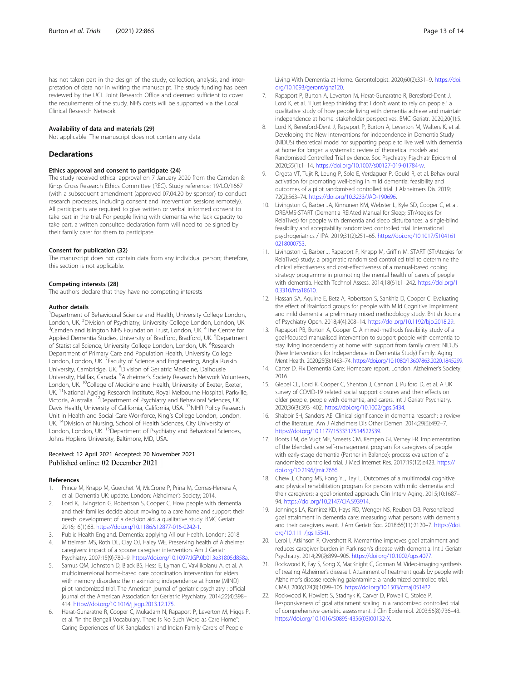<span id="page-12-0"></span>has not taken part in the design of the study, collection, analysis, and interpretation of data nor in writing the manuscript. The study funding has been reviewed by the UCL Joint Research Office and deemed sufficient to cover the requirements of the study. NHS costs will be supported via the Local Clinical Research Network.

#### Availability of data and materials {29}

Not applicable. The manuscript does not contain any data.

#### **Declarations**

#### Ethics approval and consent to participate {24}

The study received ethical approval on 7 January 2020 from the Camden & Kings Cross Research Ethics Committee (REC). Study reference: 19/LO/1667 (with a subsequent amendment (approved 07.04.20 by sponsor) to conduct research processes, including consent and intervention sessions remotely). All participants are required to give written or verbal informed consent to take part in the trial. For people living with dementia who lack capacity to take part, a written consultee declaration form will need to be signed by their family carer for them to participate.

#### Consent for publication {32}

The manuscript does not contain data from any individual person; therefore, this section is not applicable.

#### Competing interests {28}

The authors declare that they have no competing interests

#### Author details

<sup>1</sup>Department of Behavioural Science and Health, University College London, London, UK. <sup>2</sup> Division of Psychiatry, University College London, London, UK.<br><sup>3</sup> Camden and Islington NHS Equadation Trust London, UK. <sup>4</sup>The Contro for Camden and Islington NHS Foundation Trust, London, UK. <sup>4</sup>The Centre for Applied Dementia Studies, University of Bradford, Bradford, UK. <sup>5</sup>Department of Statistical Science, University College London, London, UK. <sup>6</sup>Research Department of Primary Care and Population Health, University College London, London, UK. <sup>7</sup>Faculty of Science and Engineering, Anglia Ruskin University, Cambridge, UK. <sup>8</sup> Division of Geriatric Medicine, Dalhousie University, Halifax, Canada. <sup>9</sup>Alzheimer's Society Research Network Volunteers, London, UK. <sup>10</sup>College of Medicine and Health, University of Exeter, Exeter, UK.<sup>11</sup>National Ageing Research Institute, Royal Melbourne Hospital, Parkville, Victoria, Australia. 12Department of Psychiatry and Behavioral Sciences, UC Davis Health, University of California, California, USA. <sup>13</sup>NIHR Policy Research Unit in Health and Social Care Workforce, King's College London, London, UK. <sup>14</sup>Division of Nursing, School of Health Sciences, City University of London, London, UK. <sup>15</sup>Department of Psychiatry and Behavioral Sciences, Johns Hopkins University, Baltimore, MD, USA.

## Received: 12 April 2021 Accepted: 20 November 2021 Published online: 02 December 2021

#### **References**

- Prince M, Knapp M, Guerchet M, McCrone P, Prina M, Comas-Herrera A, et al. Dementia UK: update. London: Alzheimer's Society; 2014.
- Lord K, Livingston G, Robertson S, Cooper C. How people with dementia and their families decide about moving to a care home and support their needs: development of a decision aid, a qualitative study. BMC Geriatr. 2016;16(1):68. <https://doi.org/10.1186/s12877-016-0242-1>.
- Public Health England. Dementia: applying All our Health. London; 2018. 4. Mittelman MS, Roth DL, Clay OJ, Haley WE. Preserving health of Alzheimer caregivers: impact of a spouse caregiver intervention. Am J Geriatr Psychiatry. 2007;15(9):780–9. [https://doi.org/10.1097/JGP.0b013e31805d858a.](https://doi.org/10.1097/JGP.0b013e31805d858a)
- Samus QM, Johnston D, Black BS, Hess E, Lyman C, Vavilikolanu A, et al. A multidimensional home-based care coordination intervention for elders with memory disorders: the maximizing independence at home (MIND) pilot randomized trial. The American journal of geriatric psychiatry : official journal of the American Association for Geriatric Psychiatry. 2014;22(4):398– 414. [https://doi.org/10.1016/j.jagp.2013.12.175.](https://doi.org/10.1016/j.jagp.2013.12.175)
- 6. Herat-Gunaratne R, Cooper C, Mukadam N, Rapaport P, Leverton M, Higgs P, et al. "In the Bengali Vocabulary, There Is No Such Word as Care Home": Caring Experiences of UK Bangladeshi and Indian Family Carers of People

Living With Dementia at Home. Gerontologist. 2020;60(2):331–9. [https://doi.](https://doi.org/10.1093/geront/gnz120) [org/10.1093/geront/gnz120](https://doi.org/10.1093/geront/gnz120).

- 7. Rapaport P, Burton A, Leverton M, Herat-Gunaratne R, Beresford-Dent J, Lord K, et al. "I just keep thinking that I don't want to rely on people." a qualitative study of how people living with dementia achieve and maintain independence at home: stakeholder perspectives. BMC Geriatr. 2020;20(1):5.
- Lord K, Beresford-Dent J, Rapaport P, Burton A, Leverton M, Walters K, et al. Developing the New Interventions for independence in Dementia Study (NIDUS) theoretical model for supporting people to live well with dementia at home for longer: a systematic review of theoretical models and Randomised Controlled Trial evidence. Soc Psychiatry Psychiatr Epidemiol. 2020;55(1):1–14. <https://doi.org/10.1007/s00127-019-01784-w>.
- 9. Orgeta VT, Tujit R, Leung P, Sole E, Verdaguer P, Gould R, et al. Behavioural activation for promoting well-being in mild dementia: feasibility and outcomes of a pilot randomised controlled trial. J Alzheimers Dis. 2019; 72(2):563–74. [https://doi.org/10.3233/JAD-190696.](https://doi.org/10.3233/JAD-190696)
- 10. Livingston G, Barber JA, Kinnunen KM, Webster L, Kyle SD, Cooper C, et al. DREAMS-START (Dementia RElAted Manual for Sleep; STrAtegies for RelaTives) for people with dementia and sleep disturbances: a single-blind feasibility and acceptability randomized controlled trial. International psychogeriatrics / IPA. 2019;31(2):251–65. [https://doi.org/10.1017/S104161](https://doi.org/10.1017/S1041610218000753) [0218000753.](https://doi.org/10.1017/S1041610218000753)
- 11. Livingston G, Barber J, Rapaport P, Knapp M, Griffin M. START (STrAtegies for RelaTives) study: a pragmatic randomised controlled trial to determine the clinical effectiveness and cost-effectiveness of a manual-based coping strategy programme in promoting the mental health of carers of people with dementia. Health Technol Assess. 2014;18(61):1–242. [https://doi.org/1](https://doi.org/10.3310/hta18610) [0.3310/hta18610.](https://doi.org/10.3310/hta18610)
- 12. Hassan SA, Aquirre E, Betz A, Robertson S, Sankhla D, Cooper C. Evaluating the effect of Brainfood groups for people with Mild Cognitive Impairment and mild dementia: a preliminary mixed methodology study. British Journal of Psychiatry Open. 2018;4(4):208–14. [https://doi.org/10.1192/bjo.2018.29.](https://doi.org/10.1192/bjo.2018.29)
- 13. Rapaport PB, Burton A, Cooper C. A mixed-methods feasibility study of a goal-focused manualised intervention to support people with dementia to stay living independently at home with support from family carers: NIDUS (New Interventions for Independence in Dementia Study) Family. Aging Ment Health. 2020;25(8):1463–74. [https://doi.org/10.1080/13607863.2020.1845299.](https://doi.org/10.1080/13607863.2020.1845299)
- 14. Carter D. Fix Dementia Care: Homecare report. London: Alzheimer's Society; 2016.
- 15. Giebel CL, Lord K, Cooper C, Shenton J, Cannon J, Pulford D, et al. A UK survey of COVID-19 related social support closures and their effects on older people, people with dementia, and carers. Int J Geriatr Psychiatry. 2020;36(3):393–402. <https://doi.org/10.1002/gps.5434>.
- 16. Shabbir SH, Sanders AE. Clinical significance in dementia research: a review of the literature. Am J Alzheimers Dis Other Demen. 2014;29(6):492–7. [https://doi.org/10.1177/1533317514522539.](https://doi.org/10.1177/1533317514522539)
- 17. Boots LM, de Vugt ME, Smeets CM, Kempen GI, Verhey FR. Implementation of the blended care self-management program for caregivers of people with early-stage dementia (Partner in Balance): process evaluation of a randomized controlled trial. J Med Internet Res. 2017;19(12):e423. [https://](https://doi.org/10.2196/jmir.7666) [doi.org/10.2196/jmir.7666.](https://doi.org/10.2196/jmir.7666)
- 18. Chew J, Chong MS, Fong YL, Tay L. Outcomes of a multimodal cognitive and physical rehabilitation program for persons with mild dementia and their caregivers: a goal-oriented approach. Clin Interv Aging. 2015;10:1687– 94. <https://doi.org/10.2147/CIA.S93914>.
- 19. Jennings LA, Ramirez KD, Hays RD, Wenger NS, Reuben DB. Personalized goal attainment in dementia care: measuring what persons with dementia and their caregivers want. J Am Geriatr Soc. 2018;66(11):2120-7. [https://doi.](https://doi.org/10.1111/jgs.15541) [org/10.1111/jgs.15541](https://doi.org/10.1111/jgs.15541).
- 20. Leroi I, Atkinson R, Overshott R. Memantine improves goal attainment and reduces caregiver burden in Parkinson's disease with dementia. Int J Geriatr Psychiatry. 2014;29(9):899–905. [https://doi.org/10.1002/gps.4077.](https://doi.org/10.1002/gps.4077)
- 21. Rockwood K, Fay S, Song X, MacKnight C, Gorman M. Video-imaging synthesis of treating Alzheimer's disease I. Attainment of treatment goals by people with Alzheimer's disease receiving galantamine: a randomized controlled trial. CMAJ. 2006;174(8):1099–105. [https://doi.org/10.1503/cmaj.051432.](https://doi.org/10.1503/cmaj.051432)
- 22. Rockwood K, Howlett S, Stadnyk K, Carver D, Powell C, Stolee P. Responsiveness of goal attainment scaling in a randomized controlled trial of comprehensive geriatric assessment. J Clin Epidemiol. 2003;56(8):736–43. [https://doi.org/10.1016/S0895-4356\(03\)00132-X](https://doi.org/10.1016/S0895-4356(03)00132-X).